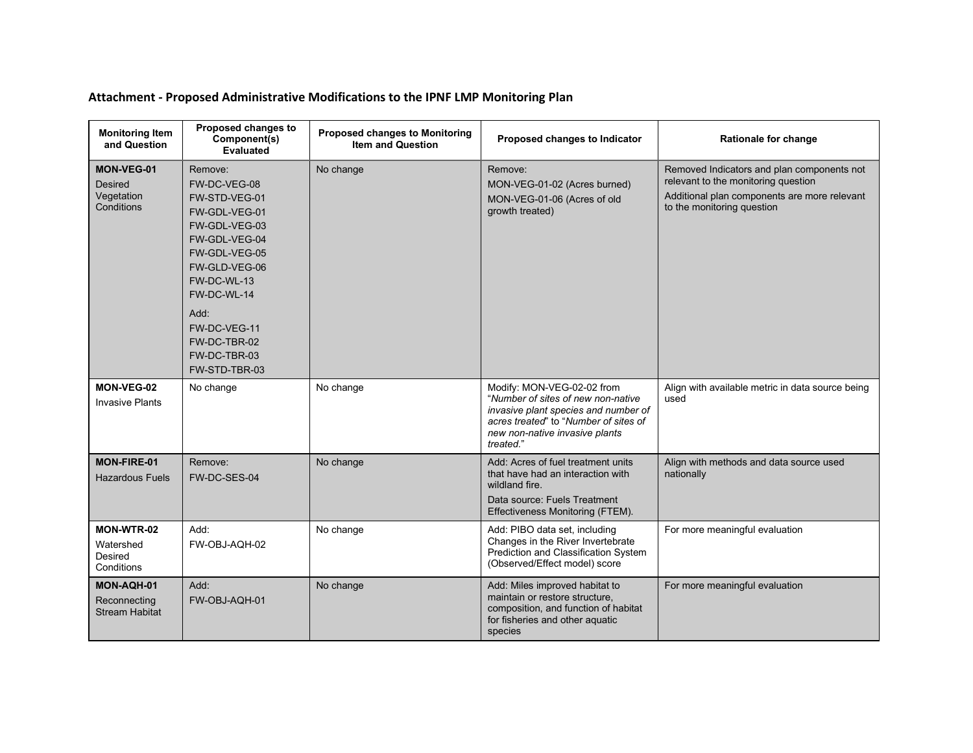## **Attachment - Proposed Administrative Modifications to the IPNF LMP Monitoring Plan**

| <b>Monitoring Item</b><br>and Question                          | Proposed changes to<br>Component(s)<br><b>Evaluated</b>                                                                                                                                                                              | <b>Proposed changes to Monitoring</b><br><b>Item and Question</b> | Proposed changes to Indicator                                                                                                                                                                    | Rationale for change                                                                                                                                            |
|-----------------------------------------------------------------|--------------------------------------------------------------------------------------------------------------------------------------------------------------------------------------------------------------------------------------|-------------------------------------------------------------------|--------------------------------------------------------------------------------------------------------------------------------------------------------------------------------------------------|-----------------------------------------------------------------------------------------------------------------------------------------------------------------|
| <b>MON-VEG-01</b><br><b>Desired</b><br>Vegetation<br>Conditions | Remove:<br>FW-DC-VEG-08<br>FW-STD-VEG-01<br>FW-GDL-VEG-01<br>FW-GDL-VEG-03<br>FW-GDL-VEG-04<br>FW-GDL-VEG-05<br>FW-GLD-VEG-06<br>FW-DC-WL-13<br>FW-DC-WL-14<br>Add:<br>FW-DC-VEG-11<br>FW-DC-TBR-02<br>FW-DC-TBR-03<br>FW-STD-TBR-03 | No change                                                         | Remove:<br>MON-VEG-01-02 (Acres burned)<br>MON-VEG-01-06 (Acres of old<br>growth treated)                                                                                                        | Removed Indicators and plan components not<br>relevant to the monitoring question<br>Additional plan components are more relevant<br>to the monitoring question |
| MON-VEG-02<br><b>Invasive Plants</b>                            | No change                                                                                                                                                                                                                            | No change                                                         | Modify: MON-VEG-02-02 from<br>"Number of sites of new non-native<br>invasive plant species and number of<br>acres treated" to "Number of sites of<br>new non-native invasive plants<br>treated." | Align with available metric in data source being<br>used                                                                                                        |
| <b>MON-FIRE-01</b><br><b>Hazardous Fuels</b>                    | Remove:<br>FW-DC-SES-04                                                                                                                                                                                                              | No change                                                         | Add: Acres of fuel treatment units<br>that have had an interaction with<br>wildland fire.<br>Data source: Fuels Treatment<br>Effectiveness Monitoring (FTEM).                                    | Align with methods and data source used<br>nationally                                                                                                           |
| MON-WTR-02<br>Watershed<br>Desired<br>Conditions                | Add:<br>FW-OBJ-AQH-02                                                                                                                                                                                                                | No change                                                         | Add: PIBO data set, including<br>Changes in the River Invertebrate<br>Prediction and Classification System<br>(Observed/Effect model) score                                                      | For more meaningful evaluation                                                                                                                                  |
| MON-AQH-01<br>Reconnecting<br><b>Stream Habitat</b>             | Add:<br>FW-OBJ-AQH-01                                                                                                                                                                                                                | No change                                                         | Add: Miles improved habitat to<br>maintain or restore structure,<br>composition, and function of habitat<br>for fisheries and other aquatic<br>species                                           | For more meaningful evaluation                                                                                                                                  |